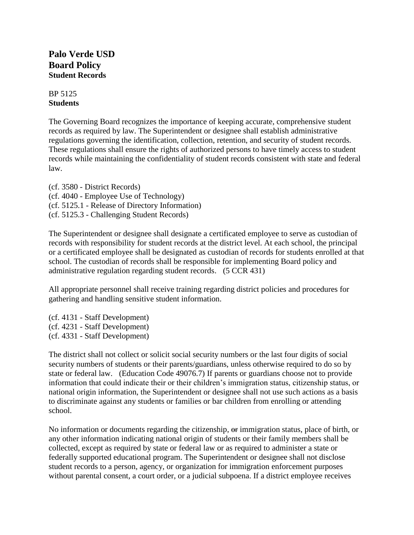# **Palo Verde USD Board Policy Student Records**

BP 5125 **Students**

The Governing Board recognizes the importance of keeping accurate, comprehensive student records as required by law. The Superintendent or designee shall establish administrative regulations governing the identification, collection, retention, and security of student records. These regulations shall ensure the rights of authorized persons to have timely access to student records while maintaining the confidentiality of student records consistent with state and federal law.

(cf. 3580 - District Records) (cf. 4040 - Employee Use of Technology) (cf. 5125.1 - Release of Directory Information) (cf. 5125.3 - Challenging Student Records)

The Superintendent or designee shall designate a certificated employee to serve as custodian of records with responsibility for student records at the district level. At each school, the principal or a certificated employee shall be designated as custodian of records for students enrolled at that school. The custodian of records shall be responsible for implementing Board policy and administrative regulation regarding student records. (5 CCR 431)

All appropriate personnel shall receive training regarding district policies and procedures for gathering and handling sensitive student information.

(cf. 4131 - Staff Development) (cf. 4231 - Staff Development) (cf. 4331 - Staff Development)

The district shall not collect or solicit social security numbers or the last four digits of social security numbers of students or their parents/guardians, unless otherwise required to do so by state or federal law. (Education Code 49076.7) If parents or guardians choose not to provide information that could indicate their or their children's immigration status, citizenship status, or national origin information, the Superintendent or designee shall not use such actions as a basis to discriminate against any students or families or bar children from enrolling or attending school.

No information or documents regarding the citizenship, or immigration status, place of birth, or any other information indicating national origin of students or their family members shall be collected, except as required by state or federal law or as required to administer a state or federally supported educational program. The Superintendent or designee shall not disclose student records to a person, agency, or organization for immigration enforcement purposes without parental consent, a court order, or a judicial subpoena. If a district employee receives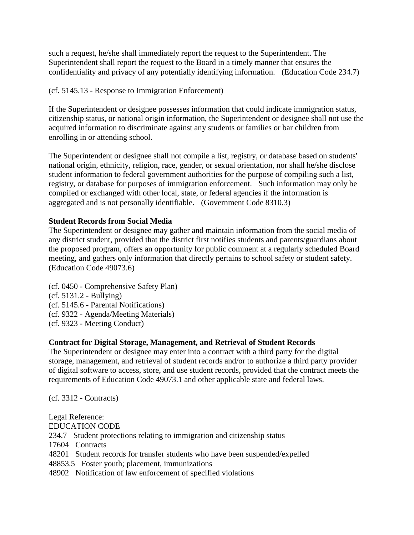such a request, he/she shall immediately report the request to the Superintendent. The Superintendent shall report the request to the Board in a timely manner that ensures the confidentiality and privacy of any potentially identifying information. (Education Code 234.7)

### (cf. 5145.13 - Response to Immigration Enforcement)

If the Superintendent or designee possesses information that could indicate immigration status, citizenship status, or national origin information, the Superintendent or designee shall not use the acquired information to discriminate against any students or families or bar children from enrolling in or attending school.

The Superintendent or designee shall not compile a list, registry, or database based on students' national origin, ethnicity, religion, race, gender, or sexual orientation, nor shall he/she disclose student information to federal government authorities for the purpose of compiling such a list, registry, or database for purposes of immigration enforcement. Such information may only be compiled or exchanged with other local, state, or federal agencies if the information is aggregated and is not personally identifiable. (Government Code 8310.3)

### **Student Records from Social Media**

The Superintendent or designee may gather and maintain information from the social media of any district student, provided that the district first notifies students and parents/guardians about the proposed program, offers an opportunity for public comment at a regularly scheduled Board meeting, and gathers only information that directly pertains to school safety or student safety. (Education Code 49073.6)

(cf. 0450 - Comprehensive Safety Plan) (cf. 5131.2 - Bullying) (cf. 5145.6 - Parental Notifications) (cf. 9322 - Agenda/Meeting Materials) (cf. 9323 - Meeting Conduct)

## **Contract for Digital Storage, Management, and Retrieval of Student Records**

The Superintendent or designee may enter into a contract with a third party for the digital storage, management, and retrieval of student records and/or to authorize a third party provider of digital software to access, store, and use student records, provided that the contract meets the requirements of Education Code 49073.1 and other applicable state and federal laws.

(cf. 3312 - Contracts)

Legal Reference: EDUCATION CODE 234.7 Student protections relating to immigration and citizenship status 17604 Contracts 48201 Student records for transfer students who have been suspended/expelled 48853.5 Foster youth; placement, immunizations

48902 Notification of law enforcement of specified violations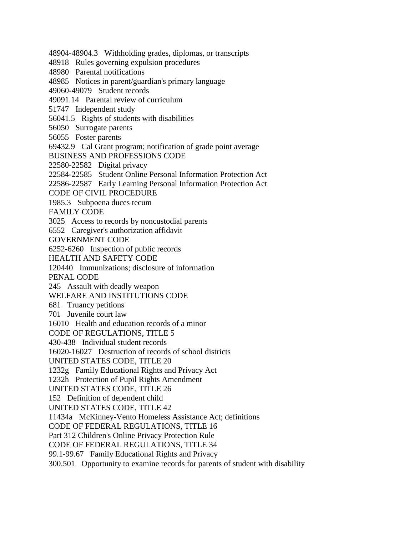48904-48904.3 Withholding grades, diplomas, or transcripts

48918 Rules governing expulsion procedures

48980 Parental notifications

48985 Notices in parent/guardian's primary language

49060-49079 Student records

49091.14 Parental review of curriculum

51747 Independent study

56041.5 Rights of students with disabilities

56050 Surrogate parents

56055 Foster parents

69432.9 Cal Grant program; notification of grade point average

BUSINESS AND PROFESSIONS CODE

22580-22582 Digital privacy

22584-22585 Student Online Personal Information Protection Act

22586-22587 Early Learning Personal Information Protection Act

CODE OF CIVIL PROCEDURE

1985.3 Subpoena duces tecum

FAMILY CODE

3025 Access to records by noncustodial parents

6552 Caregiver's authorization affidavit

GOVERNMENT CODE

6252-6260 Inspection of public records

HEALTH AND SAFETY CODE

120440 Immunizations; disclosure of information

PENAL CODE

245 Assault with deadly weapon

WELFARE AND INSTITUTIONS CODE

681 Truancy petitions

701 Juvenile court law

16010 Health and education records of a minor

CODE OF REGULATIONS, TITLE 5

430-438 Individual student records

16020-16027 Destruction of records of school districts

UNITED STATES CODE, TITLE 20

1232g Family Educational Rights and Privacy Act

1232h Protection of Pupil Rights Amendment

UNITED STATES CODE, TITLE 26

152 Definition of dependent child

UNITED STATES CODE, TITLE 42

11434a McKinney-Vento Homeless Assistance Act; definitions

CODE OF FEDERAL REGULATIONS, TITLE 16

Part 312 Children's Online Privacy Protection Rule

CODE OF FEDERAL REGULATIONS, TITLE 34

99.1-99.67 Family Educational Rights and Privacy

300.501 Opportunity to examine records for parents of student with disability